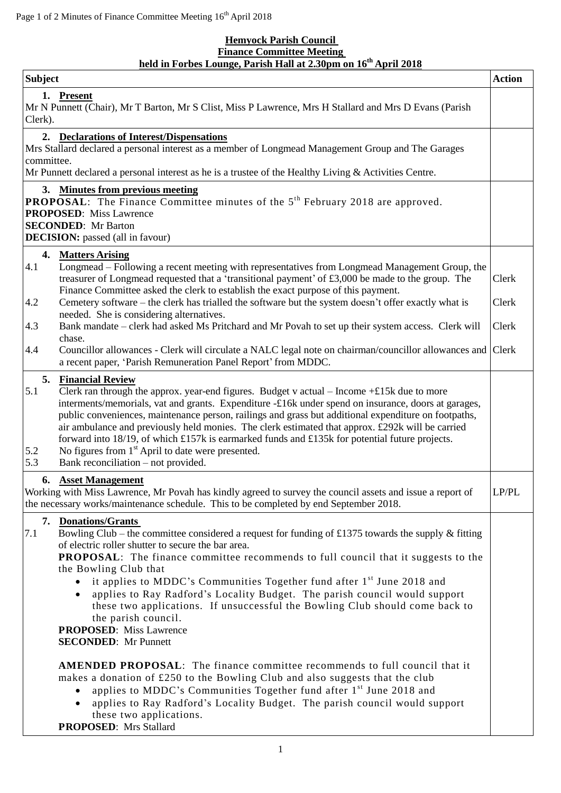## **Hemyock Parish Council Finance Committee Meeting held in Forbes Lounge, Parish Hall at 2.30pm on 16th April 2018**

| <b>Subject</b>                                                                                                                                                                                                                                                                                                                                                                                                                                                                                                                                                                                                                                                        | <b>Action</b>  |
|-----------------------------------------------------------------------------------------------------------------------------------------------------------------------------------------------------------------------------------------------------------------------------------------------------------------------------------------------------------------------------------------------------------------------------------------------------------------------------------------------------------------------------------------------------------------------------------------------------------------------------------------------------------------------|----------------|
| 1. Present<br>Mr N Punnett (Chair), Mr T Barton, Mr S Clist, Miss P Lawrence, Mrs H Stallard and Mrs D Evans (Parish<br>Clerk).                                                                                                                                                                                                                                                                                                                                                                                                                                                                                                                                       |                |
| 2. Declarations of Interest/Dispensations<br>Mrs Stallard declared a personal interest as a member of Longmead Management Group and The Garages<br>committee.<br>Mr Punnett declared a personal interest as he is a trustee of the Healthy Living & Activities Centre.                                                                                                                                                                                                                                                                                                                                                                                                |                |
| 3. Minutes from previous meeting<br><b>PROPOSAL:</b> The Finance Committee minutes of the 5 <sup>th</sup> February 2018 are approved.<br><b>PROPOSED:</b> Miss Lawrence<br><b>SECONDED:</b> Mr Barton<br><b>DECISION:</b> passed (all in favour)                                                                                                                                                                                                                                                                                                                                                                                                                      |                |
| 4. Matters Arising<br>4.1<br>Longmead – Following a recent meeting with representatives from Longmead Management Group, the<br>treasurer of Longmead requested that a 'transitional payment' of £3,000 be made to the group. The<br>Finance Committee asked the clerk to establish the exact purpose of this payment.<br>Cemetery software – the clerk has trialled the software but the system doesn't offer exactly what is<br>4.2<br>needed. She is considering alternatives.                                                                                                                                                                                      | Clerk<br>Clerk |
| 4.3<br>Bank mandate – clerk had asked Ms Pritchard and Mr Povah to set up their system access. Clerk will<br>chase.<br>4.4<br>Councillor allowances - Clerk will circulate a NALC legal note on chairman/councillor allowances and Clerk<br>a recent paper, 'Parish Remuneration Panel Report' from MDDC.                                                                                                                                                                                                                                                                                                                                                             | Clerk          |
| 5.<br><b>Financial Review</b><br>5.1<br>Clerk ran through the approx. year-end figures. Budget v actual - Income $+£15k$ due to more<br>interments/memorials, vat and grants. Expenditure -£16k under spend on insurance, doors at garages,<br>public conveniences, maintenance person, railings and grass but additional expenditure on footpaths,<br>air ambulance and previously held monies. The clerk estimated that approx. £292k will be carried<br>forward into 18/19, of which £157k is earmarked funds and £135k for potential future projects.<br>No figures from $1st$ April to date were presented.<br>5.2<br>5.3<br>Bank reconciliation – not provided. |                |
| 6. Asset Management<br>Working with Miss Lawrence, Mr Povah has kindly agreed to survey the council assets and issue a report of<br>the necessary works/maintenance schedule. This to be completed by end September 2018.                                                                                                                                                                                                                                                                                                                                                                                                                                             | LP/PL          |
| 7. Donations/Grants<br>Bowling Club – the committee considered a request for funding of £1375 towards the supply & fitting<br>7.1<br>of electric roller shutter to secure the bar area.<br><b>PROPOSAL:</b> The finance committee recommends to full council that it suggests to the<br>the Bowling Club that<br>it applies to MDDC's Communities Together fund after 1 <sup>st</sup> June 2018 and<br>applies to Ray Radford's Locality Budget. The parish council would support<br>these two applications. If unsuccessful the Bowling Club should come back to<br>the parish council.<br><b>PROPOSED:</b> Miss Lawrence<br><b>SECONDED:</b> Mr Punnett             |                |
| <b>AMENDED PROPOSAL:</b> The finance committee recommends to full council that it<br>makes a donation of £250 to the Bowling Club and also suggests that the club<br>applies to MDDC's Communities Together fund after 1 <sup>st</sup> June 2018 and<br>applies to Ray Radford's Locality Budget. The parish council would support<br>these two applications.<br><b>PROPOSED:</b> Mrs Stallard                                                                                                                                                                                                                                                                        |                |